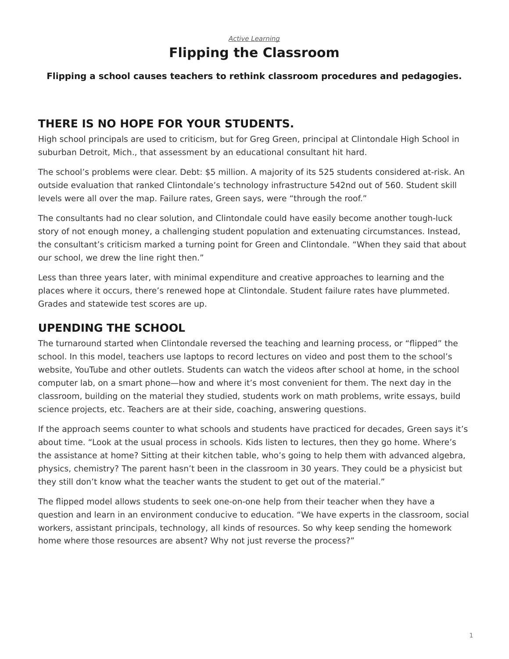## *[Active Learning](https://www.steelcase.com/asia-en/research/topics/active-learning/)* **Flipping the Classroom**

#### **Flipping a school causes teachers to rethink classroom procedures and pedagogies.**

## **THERE IS NO HOPE FOR YOUR STUDENTS.**

High school principals are used to criticism, but for Greg Green, principal at Clintondale High School in suburban Detroit, Mich., that assessment by an educational consultant hit hard.

The school's problems were clear. Debt: \$5 million. A majority of its 525 students considered at-risk. An outside evaluation that ranked Clintondale's technology infrastructure 542nd out of 560. Student skill levels were all over the map. Failure rates, Green says, were "through the roof."

The consultants had no clear solution, and Clintondale could have easily become another tough-luck story of not enough money, a challenging student population and extenuating circumstances. Instead, the consultant's criticism marked a turning point for Green and Clintondale. "When they said that about our school, we drew the line right then."

Less than three years later, with minimal expenditure and creative approaches to learning and the places where it occurs, there's renewed hope at Clintondale. Student failure rates have plummeted. Grades and statewide test scores are up.

# **UPENDING THE SCHOOL**

The turnaround started when Clintondale reversed the teaching and learning process, or "flipped" the school. In this model, teachers use laptops to record lectures on video and post them to the school's website, YouTube and other outlets. Students can watch the videos after school at home, in the school computer lab, on a smart phone—how and where it's most convenient for them. The next day in the classroom, building on the material they studied, students work on math problems, write essays, build science projects, etc. Teachers are at their side, coaching, answering questions.

If the approach seems counter to what schools and students have practiced for decades, Green says it's about time. "Look at the usual process in schools. Kids listen to lectures, then they go home. Where's the assistance at home? Sitting at their kitchen table, who's going to help them with advanced algebra, physics, chemistry? The parent hasn't been in the classroom in 30 years. They could be a physicist but they still don't know what the teacher wants the student to get out of the material."

The flipped model allows students to seek one-on-one help from their teacher when they have a question and learn in an environment conducive to education. "We have experts in the classroom, social workers, assistant principals, technology, all kinds of resources. So why keep sending the homework home where those resources are absent? Why not just reverse the process?"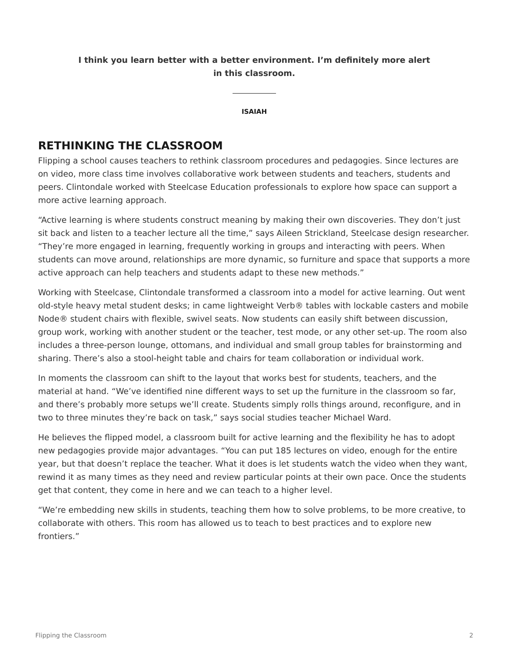### **I think you learn better with a better environment. I'm definitely more alert in this classroom.**

**ISAIAH**

## **RETHINKING THE CLASSROOM**

Flipping a school causes teachers to rethink classroom procedures and pedagogies. Since lectures are on video, more class time involves collaborative work between students and teachers, students and peers. Clintondale worked with Steelcase Education professionals to explore how space can support a more active learning approach.

"Active learning is where students construct meaning by making their own discoveries. They don't just sit back and listen to a teacher lecture all the time," says Aileen Strickland, Steelcase design researcher. "They're more engaged in learning, frequently working in groups and interacting with peers. When students can move around, relationships are more dynamic, so furniture and space that supports a more active approach can help teachers and students adapt to these new methods."

Working with Steelcase, Clintondale transformed a classroom into a model for active learning. Out went old-style heavy metal student desks; in came lightweight Verb® tables with lockable casters and mobile Node® student chairs with flexible, swivel seats. Now students can easily shift between discussion, group work, working with another student or the teacher, test mode, or any other set-up. The room also includes a three-person lounge, ottomans, and individual and small group tables for brainstorming and sharing. There's also a stool-height table and chairs for team collaboration or individual work.

In moments the classroom can shift to the layout that works best for students, teachers, and the material at hand. "We've identified nine different ways to set up the furniture in the classroom so far, and there's probably more setups we'll create. Students simply rolls things around, reconfigure, and in two to three minutes they're back on task," says social studies teacher Michael Ward.

He believes the flipped model, a classroom built for active learning and the flexibility he has to adopt new pedagogies provide major advantages. "You can put 185 lectures on video, enough for the entire year, but that doesn't replace the teacher. What it does is let students watch the video when they want, rewind it as many times as they need and review particular points at their own pace. Once the students get that content, they come in here and we can teach to a higher level.

"We're embedding new skills in students, teaching them how to solve problems, to be more creative, to collaborate with others. This room has allowed us to teach to best practices and to explore new frontiers."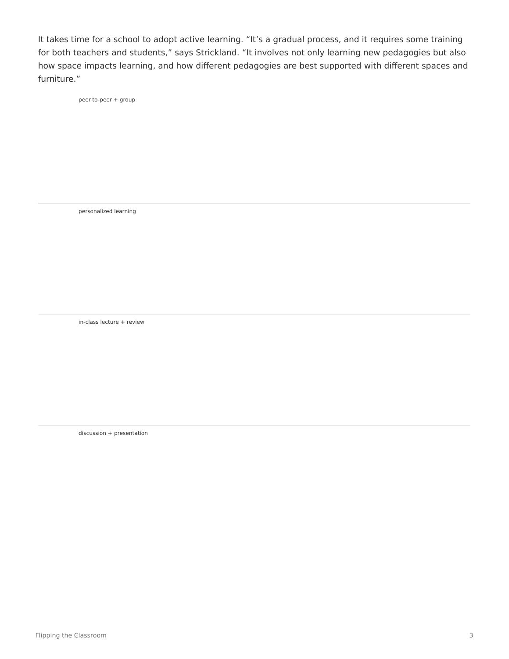It takes time for a school to adopt active learning. "It's a gradual process, and it requires some training for both teachers and students," says Strickland. "It involves not only learning new pedagogies but also how space impacts learning, and how different pedagogies are best supported with different spaces and furniture."

peer-to-peer + group

personalized learning

in-class lecture + review

discussion + presentation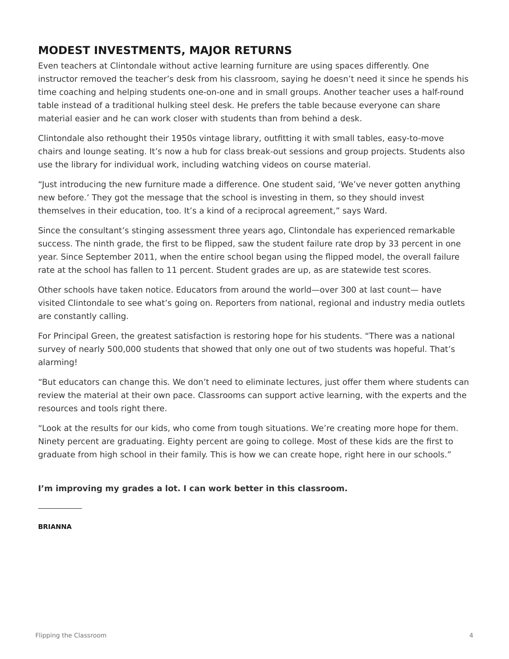# **MODEST INVESTMENTS, MAJOR RETURNS**

Even teachers at Clintondale without active learning furniture are using spaces differently. One instructor removed the teacher's desk from his classroom, saying he doesn't need it since he spends his time coaching and helping students one-on-one and in small groups. Another teacher uses a half-round table instead of a traditional hulking steel desk. He prefers the table because everyone can share material easier and he can work closer with students than from behind a desk.

Clintondale also rethought their 1950s vintage library, outfitting it with small tables, easy-to-move chairs and lounge seating. It's now a hub for class break-out sessions and group projects. Students also use the library for individual work, including watching videos on course material.

"Just introducing the new furniture made a difference. One student said, 'We've never gotten anything new before.' They got the message that the school is investing in them, so they should invest themselves in their education, too. It's a kind of a reciprocal agreement," says Ward.

Since the consultant's stinging assessment three years ago, Clintondale has experienced remarkable success. The ninth grade, the first to be flipped, saw the student failure rate drop by 33 percent in one year. Since September 2011, when the entire school began using the flipped model, the overall failure rate at the school has fallen to 11 percent. Student grades are up, as are statewide test scores.

Other schools have taken notice. Educators from around the world—over 300 at last count— have visited Clintondale to see what's going on. Reporters from national, regional and industry media outlets are constantly calling.

For Principal Green, the greatest satisfaction is restoring hope for his students. "There was a national survey of nearly 500,000 students that showed that only one out of two students was hopeful. That's alarming!

"But educators can change this. We don't need to eliminate lectures, just offer them where students can review the material at their own pace. Classrooms can support active learning, with the experts and the resources and tools right there.

"Look at the results for our kids, who come from tough situations. We're creating more hope for them. Ninety percent are graduating. Eighty percent are going to college. Most of these kids are the first to graduate from high school in their family. This is how we can create hope, right here in our schools."

#### **I'm improving my grades a lot. I can work better in this classroom.**

#### **BRIANNA**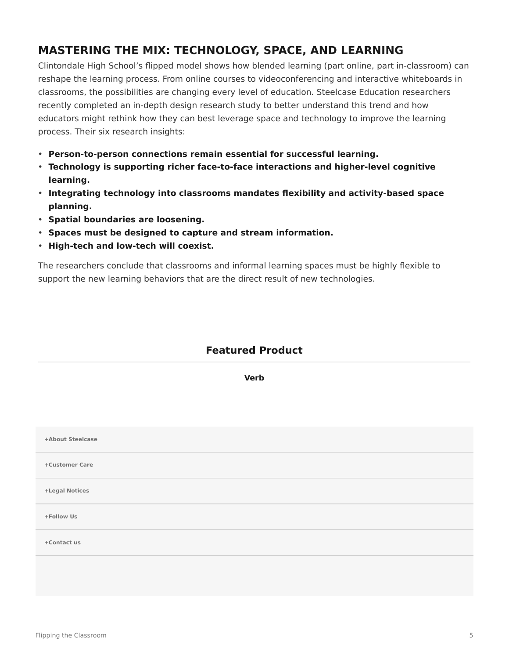# **MASTERING THE MIX: TECHNOLOGY, SPACE, AND LEARNING**

Clintondale High School's flipped model shows how blended learning (part online, part in-classroom) can reshape the learning process. From online courses to videoconferencing and interactive whiteboards in classrooms, the possibilities are changing every level of education. Steelcase Education researchers recently completed an in-depth design research study to better understand this trend and how educators might rethink how they can best leverage space and technology to improve the learning process. Their six research insights:

- **Person-to-person connections remain essential for successful learning.**
- **Technology is supporting richer face-to-face interactions and higher-level cognitive learning.**
- **Integrating technology into classrooms mandates flexibility and activity-based space planning.**
- **Spatial boundaries are loosening.**
- **Spaces must be designed to capture and stream information.**
- **High-tech and low-tech will coexist.**

The researchers conclude that classrooms and informal learning spaces must be highly flexible to support the new learning behaviors that are the direct result of new technologies.

## **Featured Product**